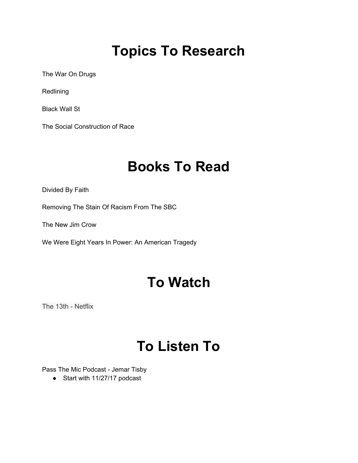# **Topics To Research**

The War On Drugs

Redlining

Black Wall St

The Social Construction of Race

## **Books To Read**

Divided By Faith

Removing The Stain Of Racism From The SBC

The New Jim Crow

We Were Eight Years In Power: An American Tragedy

## **To Watch**

The 13th - Netflix

## **To Listen To**

Pass The Mic Podcast - Jemar Tisby

● Start with 11/27/17 podcast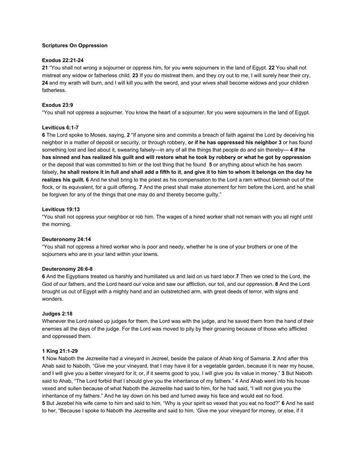## **Scriptures On Oppression**

## **Exodus 22:21-24**

**21** "You shall not wrong a sojourner or oppress him, for you were sojourners in the land of Egypt. **22** You shall not mistreat any widow or fatherless child. **23** If you do mistreat them, and they cry out to me, I will surely hear their cry, **24** and my wrath will burn, and I will kill you with the sword, and your wives shall become widows and your children fatherless.

## **Exodus 23:9**

"You shall not oppress a sojourner. You know the heart of a sojourner, for you were sojourners in the land of Egypt.

## **Leviticus 6:1-7**

**6** The Lord spoke to Moses, saying, **2** "If anyone sins and commits a breach of faith against the Lord by deceiving his neighbor in a matter of deposit or security, or through robbery, **or if he has oppressed his neighbor 3** or has found something lost and lied about it, swearing falsely—in any of all the things that people do and sin thereby— **4 if he has sinned and has realized his guilt and will restore what he took by robbery or what he got by oppression** or the deposit that was committed to him or the lost thing that he found **5** or anything about which he has sworn falsely, **he shall restore it in full and shall add a fifth to it**, **and give it to him to whom it belongs on the day he realizes his guilt. 6** And he shall bring to the priest as his compensation to the Lord a ram without blemish out of the flock, or its equivalent, for a guilt offering. **7** And the priest shall make atonement for him before the Lord, and he shall be forgiven for any of the things that one may do and thereby become guilty."

## **Leviticus 19:13**

"You shall not oppress your neighbor or rob him. The wages of a hired worker shall not remain with you all night until the morning.

## **Deuteronomy 24:14**

"You shall not oppress a hired worker who is poor and needy, whether he is one of your brothers or one of the sojourners who are in your land within your towns.

## **Deuteronomy 26:6-8**

**6** And the Egyptians treated us harshly and humiliated us and laid on us hard labor.**7** Then we cried to the Lord, the God of our fathers, and the Lord heard our voice and saw our affliction, our toil, and our oppression. **8** And the Lord brought us out of Egypt with a mighty hand and an outstretched arm, with great deeds of terror, with signs and wonders.

## **Judges 2:18**

Whenever the Lord raised up judges for them, the Lord was with the judge, and he saved them from the hand of their enemies all the days of the judge. For the Lord was moved to pity by their groaning because of those who afflicted and oppressed them.

## **1 King 21:1-29**

**1** Now Naboth the Jezreelite had a vineyard in Jezreel, beside the palace of Ahab king of Samaria. **2** And after this Ahab said to Naboth, "Give me your vineyard, that I may have it for a vegetable garden, because it is near my house, and I will give you a better vineyard for it; or, if it seems good to you, I will give you its value in money." **3** But Naboth said to Ahab, "The Lord forbid that I should give you the inheritance of my fathers." 4 And Ahab went into his house vexed and sullen because of what Naboth the Jezreelite had said to him, for he had said, "I will not give you the inheritance of my fathers." And he lay down on his bed and turned away his face and would eat no food. **5** But Jezebel his wife came to him and said to him, "Why is your spirit so vexed that you eat no food?" **6** And he said to her, "Because I spoke to Naboth the Jezreelite and said to him, 'Give me your vineyard for money, or else, if it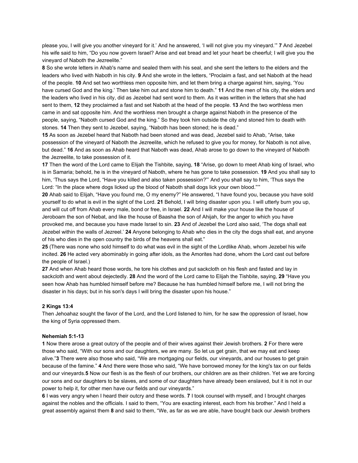please you, I will give you another vineyard for it.' And he answered, 'I will not give you my vineyard.'" **7** And Jezebel his wife said to him, "Do you now govern Israel? Arise and eat bread and let your heart be cheerful; I will give you the vineyard of Naboth the Jezreelite."

**8** So she wrote letters in Ahab's name and sealed them with his seal, and she sent the letters to the elders and the leaders who lived with Naboth in his city. **9** And she wrote in the letters, "Proclaim a fast, and set Naboth at the head of the people. **10** And set two worthless men opposite him, and let them bring a charge against him, saying, 'You have cursed God and the king.' Then take him out and stone him to death." **11** And the men of his city, the elders and the leaders who lived in his city, did as Jezebel had sent word to them. As it was written in the letters that she had sent to them, **12** they proclaimed a fast and set Naboth at the head of the people. **13** And the two worthless men came in and sat opposite him. And the worthless men brought a charge against Naboth in the presence of the people, saying, "Naboth cursed God and the king." So they took him outside the city and stoned him to death with stones. **14** Then they sent to Jezebel, saying, "Naboth has been stoned; he is dead."

**15** As soon as Jezebel heard that Naboth had been stoned and was dead, Jezebel said to Ahab, "Arise, take possession of the vineyard of Naboth the Jezreelite, which he refused to give you for money, for Naboth is not alive, but dead." **16** And as soon as Ahab heard that Naboth was dead, Ahab arose to go down to the vineyard of Naboth the Jezreelite, to take possession of it.

**17** Then the word of the Lord came to Elijah the Tishbite, saying, **18** "Arise, go down to meet Ahab king of Israel, who is in Samaria; behold, he is in the vineyard of Naboth, where he has gone to take possession. **19** And you shall say to him, 'Thus says the Lord, "Have you killed and also taken possession?"' And you shall say to him, 'Thus says the Lord: "In the place where dogs licked up the blood of Naboth shall dogs lick your own blood."'"

**20** Ahab said to Elijah, "Have you found me, O my enemy?" He answered, "I have found you, because you have sold yourself to do what is evil in the sight of the Lord. **21** Behold, I will bring disaster upon you. I will utterly burn you up, and will cut off from Ahab every male, bond or free, in Israel. **22** And I will make your house like the house of Jeroboam the son of Nebat, and like the house of Baasha the son of Ahijah, for the anger to which you have provoked me, and because you have made Israel to sin. **23** And of Jezebel the Lord also said, 'The dogs shall eat Jezebel within the walls of Jezreel.' **24** Anyone belonging to Ahab who dies in the city the dogs shall eat, and anyone of his who dies in the open country the birds of the heavens shall eat."

**25** (There was none who sold himself to do what was evil in the sight of the Lordlike Ahab, whom Jezebel his wife incited. **26** He acted very abominably in going after idols, as the Amorites had done, whom the Lord cast out before the people of Israel.)

**27** And when Ahab heard those words, he tore his clothes and put sackcloth on his flesh and fasted and lay in sackcloth and went about dejectedly. **28** And the word of the Lord came to Elijah the Tishbite, saying, **29** "Have you seen how Ahab has humbled himself before me? Because he has humbled himself before me, I will not bring the disaster in his days; but in his son's days I will bring the disaster upon his house."

#### **2 Kings 13:4**

Then Jehoahaz sought the favor of the Lord, and the Lord listened to him, for he saw the oppression of Israel, how the king of Syria oppressed them.

#### **Nehemiah 5:1-13**

**1** Now there arose a great outcry of the people and of their wives against their Jewish brothers. **2** For there were those who said, "With our sons and our daughters, we are many. So let us get grain, that we may eat and keep alive."**3** There were also those who said, "We are mortgaging our fields, our vineyards, and our houses to get grain because of the famine." **4** And there were those who said, "We have borrowed money for the king's tax on our fields and our vineyards.**5** Now our flesh is as the flesh of our brothers, our children are as their children. Yet we are forcing our sons and our daughters to be slaves, and some of our daughters have already been enslaved, but it is not in our power to help it, for other men have our fields and our vineyards."

**6** I was very angry when I heard their outcry and these words. **7** I took counsel with myself, and I brought charges against the nobles and the officials. I said to them, "You are exacting interest, each from his brother." And I held a great assembly against them **8** and said to them, "We, as far as we are able, have bought back our Jewish brothers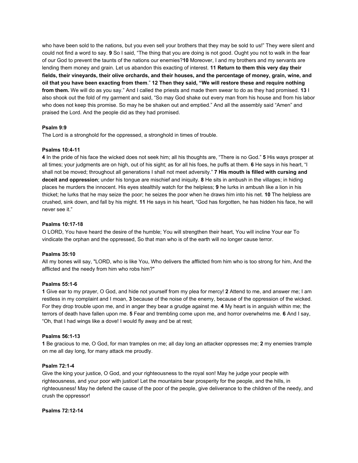who have been sold to the nations, but you even sell your brothers that they may be sold to us!" They were silent and could not find a word to say. **9** So I said, "The thing that you are doing is not good. Ought you not to walk in the fear of our God to prevent the taunts of the nations our enemies?**10** Moreover, I and my brothers and my servants are lending them money and grain. Let us abandon this exacting of interest. **11 Return to them this very day their fields, their vineyards, their olive orchards, and their houses, and the percentage of money, grain, wine, and oil that you have been exacting from them**." **12 Then they said, "We will restore these and require nothing from them.** We will do as you say." And I called the priests and made them swear to do as they had promised. **13** I also shook out the fold of my garment and said, "So may God shake out every man from his house and from his labor who does not keep this promise. So may he be shaken out and emptied." And all the assembly said "Amen" and praised the Lord. And the people did as they had promised.

## **Psalm 9:9**

The Lord is a stronghold for the oppressed, a stronghold in times of trouble.

## **Psalms 10:4-11**

**4** In the pride of his face the wicked does not seek him; all his thoughts are, "There is no God." **5** His ways prosper at all times; your judgments are on high, out of his sight; as for all his foes, he puffs at them. **6** He says in his heart, "I shall not be moved; throughout all generations I shall not meet adversity." **7 His mouth is filled with cursing and deceit and oppression**; under his tongue are mischief and iniquity. **8** He sits in ambush in the villages; in hiding places he murders the innocent. His eyes stealthily watch for the helpless; **9** he lurks in ambush like a lion in his thicket; he lurks that he may seize the poor; he seizes the poor when he draws him into his net. **10** The helpless are crushed, sink down, and fall by his might. **11** He says in his heart, "God has forgotten, he has hidden his face, he will never see it."

## **Psalms 10:17-18**

O LORD, You have heard the desire of the humble; You will strengthen their heart, You will incline Your ear To vindicate the orphan and the oppressed, So that man who is of the earth will no longer cause terror.

## **Psalms 35:10**

All my bones will say, "LORD, who is like You, Who delivers the afflicted from him who is too strong for him, And the afflicted and the needy from him who robs him?"

## **Psalms 55:1-6**

**1** Give ear to my prayer, O God, and hide not yourself from my plea for mercy! **2** Attend to me, and answer me; I am restless in my complaint and I moan, **3** because of the noise of the enemy, because of the oppression of the wicked. For they drop trouble upon me, and in anger they bear a grudge against me. **4** My heart is in anguish within me; the terrors of death have fallen upon me. **5** Fear and trembling come upon me, and horror overwhelms me. **6** And I say, "Oh, that I had wings like a dove! I would fly away and be at rest;

## **Psalms 56:1-13**

**1** Be gracious to me, O God, for man tramples on me; all day long an attacker oppresses me; **2** my enemies trample on me all day long, for many attack me proudly.

## **Psalm 72:1-4**

Give the king your justice, O God, and your righteousness to the royal son! May he judge your people with righteousness, and your poor with justice! Let the mountains bear prosperity for the people, and the hills, in righteousness! May he defend the cause of the poor of the people, give deliverance to the children of the needy, and crush the oppressor!

## **Psalms 72:12-14**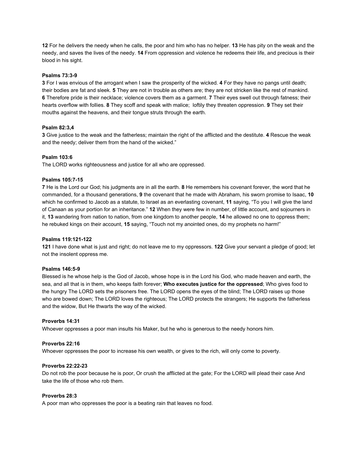**12** For he delivers the needy when he calls, the poor and him who has no helper. **13** He has pity on the weak and the needy, and saves the lives of the needy. **14** From oppression and violence he redeems their life, and precious is their blood in his sight.

## **Psalms 73:3-9**

**3** For I was envious of the arrogant when I saw the prosperity of the wicked. **4** For they have no pangs until death; their bodies are fat and sleek. **5** They are not in trouble as others are; they are not stricken like the rest of mankind. **6** Therefore pride is their necklace; violence covers them as a garment. **7** Their eyes swell out through fatness; their hearts overflow with follies. **8** They scoff and speak with malice; loftily they threaten oppression. **9** They set their mouths against the heavens, and their tongue struts through the earth.

## **Psalm 82:3,4**

**3** Give justice to the weak and the fatherless; maintain the right of the afflicted and the destitute. **4** Rescue the weak and the needy; deliver them from the hand of the wicked."

## **Psalm 103:6**

The LORD works righteousness and justice for all who are oppressed.

## **Psalms 105:7-15**

**7** He is the Lord our God; his judgments are in all the earth. **8** He remembers his covenant forever, the word that he commanded, for a thousand generations, **9** the covenant that he made with Abraham, his sworn promise to Isaac, **10** which he confirmed to Jacob as a statute, to Israel as an everlasting covenant, **11** saying, "To you I will give the land of Canaan as your portion for an inheritance." **12** When they were few in number, of little account, and sojourners in it, **13** wandering from nation to nation, from one kingdom to another people, **14** he allowed no one to oppress them; he rebuked kings on their account, **15** saying, "Touch not my anointed ones, do my prophets no harm!"

## **Psalms 119:121-122**

**121** I have done what is just and right; do not leave me to my oppressors. **122** Give your servant a pledge of good; let not the insolent oppress me.

## **Psalms 146:5-9**

Blessed is he whose help is the God of Jacob, whose hope is in the Lord his God, who made heaven and earth, the sea, and all that is in them, who keeps faith forever; **Who executes justice for the oppressed**; Who gives food to the hungry The LORD sets the prisoners free. The LORD opens the eyes of the blind; The LORD raises up those who are bowed down; The LORD loves the righteous; The LORD protects the strangers; He supports the fatherless and the widow, But He thwarts the way of the wicked.

## **Proverbs 14:31**

Whoever oppresses a poor man insults his Maker, but he who is generous to the needy honors him.

## **Proverbs 22:16**

Whoever oppresses the poor to increase his own wealth, or gives to the rich, will only come to poverty.

## **Proverbs 22:22-23**

Do not rob the poor because he is poor, Or crush the afflicted at the gate; For the LORD will plead their case And take the life of those who rob them.

## **Proverbs 28:3**

A poor man who oppresses the poor is a beating rain that leaves no food.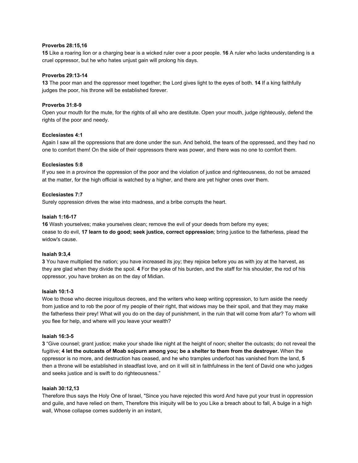## **Proverbs 28:15,16**

**15** Like a roaring lion or a charging bear is a wicked ruler over a poor people. **16** A ruler who lacks understanding is a cruel oppressor, but he who hates unjust gain will prolong his days.

### **Proverbs 29:13-14**

**13** The poor man and the oppressor meet together; the Lord gives light to the eyes of both. **14** If a king faithfully judges the poor, his throne will be established forever.

### **Proverbs 31:8-9**

Open your mouth for the mute, for the rights of all who are destitute. Open your mouth, judge righteously, defend the rights of the poor and needy.

#### **Ecclesiastes 4:1**

Again I saw all the oppressions that are done under the sun. And behold, the tears of the oppressed, and they had no one to comfort them! On the side of their oppressors there was power, and there was no one to comfort them.

#### **Ecclesiastes 5:8**

If you see in a province the oppression of the poor and the violation of justice and righteousness, do not be amazed at the matter, for the high official is watched by a higher, and there are yet higher ones over them.

#### **Ecclesiastes 7:7**

Surely oppression drives the wise into madness, and a bribe corrupts the heart.

#### **Isaiah 1:16-17**

**16** Wash yourselves; make yourselves clean; remove the evil of your deeds from before my eyes; cease to do evil, **17 learn to do good; seek justice, correct oppression**; bring justice to the fatherless, plead the widow's cause.

#### **Isaiah 9:3,4**

**3** You have multiplied the nation; you have increased its joy; they rejoice before you as with joy at the harvest, as they are glad when they divide the spoil. **4** For the yoke of his burden, and the staff for his shoulder, the rod of his oppressor, you have broken as on the day of Midian.

#### **Isaiah 10:1-3**

Woe to those who decree iniquitous decrees, and the writers who keep writing oppression, to turn aside the needy from justice and to rob the poor of my people of their right, that widows may be their spoil, and that they may make the fatherless their prey! What will you do on the day of punishment, in the ruin that will come from afar? To whom will you flee for help, and where will you leave your wealth?

#### **Isaiah 16:3-5**

**3** "Give counsel; grant justice; make your shade like night at the height of noon; shelter the outcasts; do not reveal the fugitive; **4 let the outcasts of Moab sojourn among you; be a shelter to them from the destroyer.** When the oppressor is no more, and destruction has ceased, and he who tramples underfoot has vanished from the land, **5** then a throne will be established in steadfast love, and on it will sit in faithfulness in the tent of David one who judges and seeks justice and is swift to do righteousness."

#### **Isaiah 30:12,13**

Therefore thus says the Holy One of Israel, "Since you have rejected this word And have put your trust in oppression and guile, and have relied on them, Therefore this iniquity will be to you Like a breach about to fall, A bulge in a high wall, Whose collapse comes suddenly in an instant,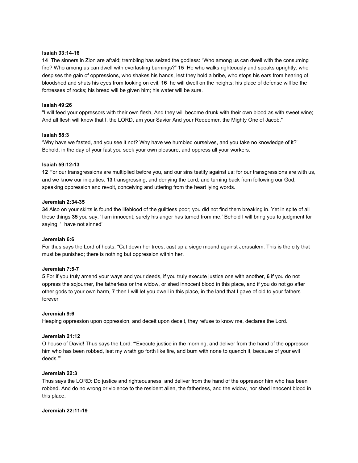#### **Isaiah 33:14-16**

**14** The sinners in Zion are afraid; trembling has seized the godless: "Who among us can dwell with the consuming fire? Who among us can dwell with everlasting burnings?" **15** He who walks righteously and speaks uprightly, who despises the gain of oppressions, who shakes his hands, lest they hold a bribe, who stops his ears from hearing of bloodshed and shuts his eyes from looking on evil, **16** he will dwell on the heights; his place of defense will be the fortresses of rocks; his bread will be given him; his water will be sure.

## **Isaiah 49:26**

"I will feed your oppressors with their own flesh, And they will become drunk with their own blood as with sweet wine; And all flesh will know that I, the LORD, am your Savior And your Redeemer, the Mighty One of Jacob."

## **Isaiah 58:3**

'Why have we fasted, and you see it not? Why have we humbled ourselves, and you take no knowledge of it?' Behold, in the day of your fast you seek your own pleasure, and oppress all your workers.

## **Isaiah 59:12-13**

**12** For our transgressions are multiplied before you, and our sins testify against us; for our transgressions are with us, and we know our iniquities: **13** transgressing, and denying the Lord, and turning back from following our God, speaking oppression and revolt, conceiving and uttering from the heart lying words.

## **Jeremiah 2:34-35**

**34** Also on your skirts is found the lifeblood of the guiltless poor; you did not find them breaking in. Yet in spite of all these things **35** you say, 'I am innocent; surely his anger has turned from me.' Behold I will bring you to judgment for saying, 'I have not sinned'

## **Jeremiah 6:6**

For thus says the Lord of hosts: "Cut down her trees; cast up a siege mound against Jerusalem. This is the city that must be punished; there is nothing but oppression within her.

## **Jeremiah 7:5-7**

**5** For if you truly amend your ways and your deeds, if you truly execute justice one with another, **6** if you do not oppress the sojourner, the fatherless or the widow, or shed innocent blood in this place, and if you do not go after other gods to your own harm, **7** then I will let you dwell in this place, in the land that I gave of old to your fathers forever

## **Jeremiah 9:6**

Heaping oppression upon oppression, and deceit upon deceit, they refuse to know me, declares the Lord.

## **Jeremiah 21:12**

O house of David! Thus says the Lord: "'Execute justice in the morning, and deliver from the hand of the oppressor him who has been robbed, lest my wrath go forth like fire, and burn with none to quench it, because of your evil deeds.'"

## **Jeremiah 22:3**

Thus says the LORD: Do justice and righteousness, and deliver from the hand of the oppressor him who has been robbed. And do no wrong or violence to the resident alien, the fatherless, and the widow, nor shed innocent blood in this place.

#### **Jeremiah 22:11-19**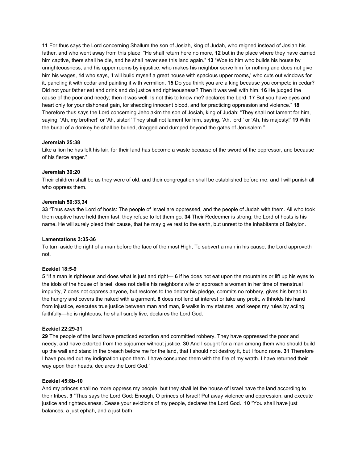**11** For thus says the Lord concerning Shallum the son of Josiah, king of Judah, who reigned instead of Josiah his father, and who went away from this place: "He shall return here no more, **12** but in the place where they have carried him captive, there shall he die, and he shall never see this land again." **13** "Woe to him who builds his house by unrighteousness, and his upper rooms by injustice, who makes his neighbor serve him for nothing and does not give him his wages, **14** who says, 'I will build myself a great house with spacious upper rooms,' who cuts out windows for it, paneling it with cedar and painting it with vermilion. **15** Do you think you are a king because you compete in cedar? Did not your father eat and drink and do justice and righteousness? Then it was well with him. **16** He judged the cause of the poor and needy; then it was well. Is not this to know me? declares the Lord. **17** But you have eyes and heart only for your dishonest gain, for shedding innocent blood, and for practicing oppression and violence." **18** Therefore thus says the Lord concerning Jehoiakim the son of Josiah, king of Judah: "They shall not lament for him, saying, 'Ah, my brother!' or 'Ah, sister!' They shall not lament for him, saying, 'Ah, lord!' or 'Ah, his majesty!' **19** With the burial of a donkey he shall be buried, dragged and dumped beyond the gates of Jerusalem."

## **Jeremiah 25:38**

Like a lion he has left his lair, for their land has become a waste because of the sword of the oppressor, and because of his fierce anger."

## **Jeremiah 30:20**

Their children shall be as they were of old, and their congregation shall be established before me, and I will punish all who oppress them.

## **Jeremiah 50:33,34**

**33** "Thus says the Lord of hosts: The people of Israel are oppressed, and the people of Judah with them. All who took them captive have held them fast; they refuse to let them go. **34** Their Redeemer is strong; the Lord of hosts is his name. He will surely plead their cause, that he may give rest to the earth, but unrest to the inhabitants of Babylon.

## **Lamentations 3:35-36**

To turn aside the right of a man before the face of the most High, To subvert a man in his cause, the Lord approveth not.

## **Ezekiel 18:5-9**

**5** "If a man is righteous and does what is just and right— **6** if he does not eat upon the mountains or lift up his eyes to the idols of the house of Israel, does not defile his neighbor's wife or approach a woman in her time of menstrual impurity, **7** does not oppress anyone, but restores to the debtor his pledge, commits no robbery, gives his bread to the hungry and covers the naked with a garment, **8** does not lend at interest or take any profit, withholds his hand from injustice, executes true justice between man and man, **9** walks in my statutes, and keeps my rules by acting faithfully—he is righteous; he shall surely live, declares the Lord God.

## **Ezekiel 22:29-31**

**29** The people of the land have practiced extortion and committed robbery. They have oppressed the poor and needy, and have extorted from the sojourner without justice. **30** And I sought for a man among them who should build up the wall and stand in the breach before me for the land, that I should not destroy it, but I found none. **31** Therefore I have poured out my indignation upon them. I have consumed them with the fire of my wrath. I have returned their way upon their heads, declares the Lord God."

## **Ezekiel 45:8b-10**

And my princes shall no more oppress my people, but they shall let the house of Israel have the land according to their tribes. **9** "Thus says the Lord God: Enough, O princes of Israel! Put away violence and oppression, and execute justice and righteousness. Cease your evictions of my people, declares the Lord God. **10** "You shall have just balances, a just ephah, and a just bath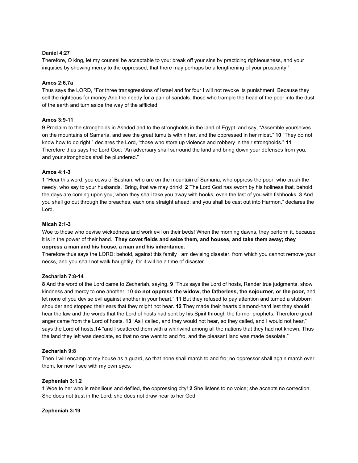## **Daniel 4:27**

Therefore, O king, let my counsel be acceptable to you: break off your sins by practicing righteousness, and your iniquities by showing mercy to the oppressed, that there may perhaps be a lengthening of your prosperity."

## **Amos 2:6,7a**

Thus says the LORD, "For three transgressions of Israel and for four I will not revoke its punishment, Because they sell the righteous for money And the needy for a pair of sandals. those who trample the head of the poor into the dust of the earth and turn aside the way of the afflicted;

## **Amos 3:9-11**

**9** Proclaim to the strongholds in Ashdod and to the strongholds in the land of Egypt, and say, "Assemble yourselves on the mountains of Samaria, and see the great tumults within her, and the oppressed in her midst." **10** "They do not know how to do right," declares the Lord, "those who store up violence and robbery in their strongholds." **11** Therefore thus says the Lord God: "An adversary shall surround the land and bring down your defenses from you, and your strongholds shall be plundered."

## **Amos 4:1-3**

**1** "Hear this word, you cows of Bashan, who are on the mountain of Samaria, who oppress the poor, who crush the needy, who say to your husbands, 'Bring, that we may drink!' **2** The Lord God has sworn by his holiness that, behold, the days are coming upon you, when they shall take you away with hooks, even the last of you with fishhooks. **3** And you shall go out through the breaches, each one straight ahead; and you shall be cast out into Harmon," declares the Lord.

## **Micah 2:1-3**

Woe to those who devise wickedness and work evil on their beds! When the morning dawns, they perform it, because it is in the power of their hand. **They covet fields and seize them, and houses, and take them away; they oppress a man and his house, a man and his inheritance.**

Therefore thus says the LORD: behold, against this family I am devising disaster, from which you cannot remove your necks, and you shall not walk haughtily, for it will be a time of disaster.

## **Zechariah 7:8-14**

**8** And the word of the Lord came to Zechariah, saying, **9** "Thus says the Lord of hosts, Render true judgments, show kindness and mercy to one another, 10 **do not oppress the widow, the fatherless, the sojourner, or the poor,** and let none of you devise evil against another in your heart." **11** But they refused to pay attention and turned a stubborn shoulder and stopped their ears that they might not hear. **12** They made their hearts diamond-hard lest they should hear the law and the words that the Lord of hosts had sent by his Spirit through the former prophets. Therefore great anger came from the Lord of hosts. **13** "As I called, and they would not hear, so they called, and I would not hear," says the Lord of hosts,**14** "and I scattered them with a whirlwind among all the nations that they had not known. Thus the land they left was desolate, so that no one went to and fro, and the pleasant land was made desolate."

## **Zechariah 9:8**

Then I will encamp at my house as a guard, so that none shall march to and fro; no oppressor shall again march over them, for now I see with my own eyes.

## **Zepheniah 3:1,2**

**1** Woe to her who is rebellious and defiled, the oppressing city! **2** She listens to no voice; she accepts no correction. She does not trust in the Lord; she does not draw near to her God.

## **Zepheniah 3:19**